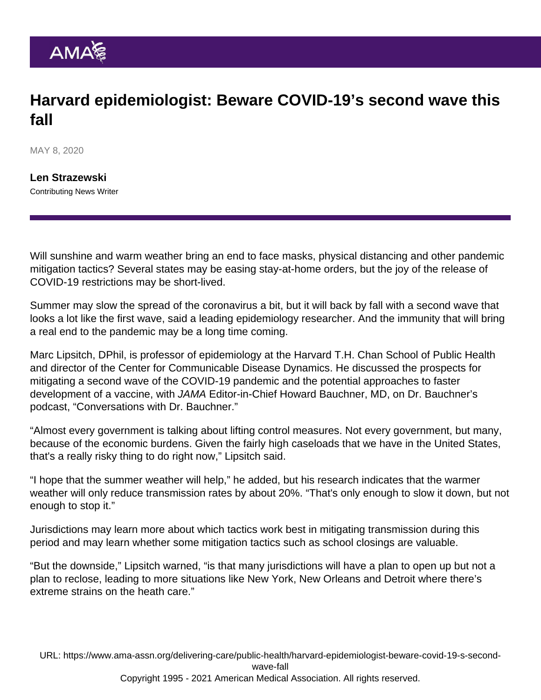## Harvard epidemiologist: Beware COVID-19's second wave this fall

MAY 8, 2020

[Len Strazewski](https://www.ama-assn.org/news-leadership-viewpoints/authors-news-leadership-viewpoints/len-strazewski) Contributing News Writer

Will sunshine and warm weather bring an end to face masks, physical distancing and other pandemic mitigation tactics? Several states may be easing stay-at-home orders, but the joy of the release of COVID-19 restrictions may be short-lived.

Summer may slow the spread of the coronavirus a bit, but it will back by fall with a second wave that looks a lot like the first wave, said a leading epidemiology researcher. And the immunity that will bring a real end to the pandemic may be a long time coming.

Marc Lipsitch, DPhil, is professor of epidemiology at the Harvard T.H. Chan School of Public Health and director of the Center for Communicable Disease Dynamics. He discussed the prospects for mitigating a second wave of the COVID-19 pandemic and the potential approaches to faster development of a vaccine, with JAMA Editor-in-Chief Howard Bauchner, MD, on Dr. Bauchner's podcast, "[Conversations with Dr. Bauchner](https://jamanetwork.com/journals/jama/pages/conversations-with-dr-bauchner)."

"Almost every government is talking about lifting control measures. Not every government, but many, because of the economic burdens. Given the fairly high caseloads that we have in the United States, that's a really risky thing to do right now," Lipsitch said.

"I hope that the summer weather will help," he added, but his research indicates that the warmer weather will only reduce transmission rates by about 20%. "That's only enough to slow it down, but not enough to stop it."

Jurisdictions may learn more about which tactics work best in mitigating transmission during this period and may learn whether some mitigation tactics such as school closings are valuable.

"But the downside," Lipsitch warned, "is that many jurisdictions will have a plan to open up but not a plan to reclose, leading to more situations like New York, New Orleans and Detroit where there's extreme strains on the heath care."

URL: [https://www.ama-assn.org/delivering-care/public-health/harvard-epidemiologist-beware-covid-19-s-second](https://www.ama-assn.org/delivering-care/public-health/harvard-epidemiologist-beware-covid-19-s-second-wave-fall)[wave-fall](https://www.ama-assn.org/delivering-care/public-health/harvard-epidemiologist-beware-covid-19-s-second-wave-fall) Copyright 1995 - 2021 American Medical Association. All rights reserved.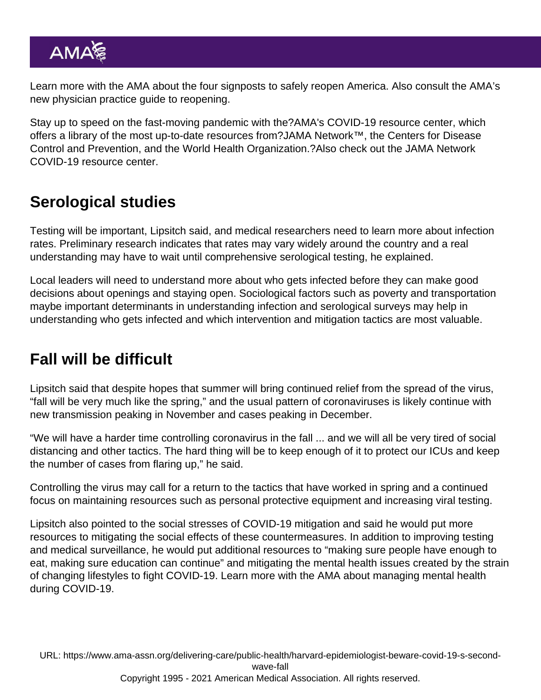Learn more with the AMA about the [four signposts to safely reopen America.](https://www.ama-assn.org/delivering-care/public-health/ama-states-should-follow-4-signposts-safely-reopen-america) Also consult the AMA's new [physician practice guide to reopening](https://www.ama-assn.org/delivering-care/public-health/covid-19-physician-practice-guide-reopening).

Stay up to speed on the fast-moving pandemic with the?[AMA's COVID-19 resource center,](https://www.ama-assn.org/delivering-care/public-health/covid-19-2019-novel-coronavirus-resource-center-physicians) which offers a library of the most up-to-date resources from?[JAMA Network](https://jamanetwork.com/)™, the Centers for Disease Control and Prevention, and the World Health Organization.?Also check out the [JAMA Network](https://jamanetwork.com/journals/jama/pages/coronavirus-alert) [COVID-19 resource center](https://jamanetwork.com/journals/jama/pages/coronavirus-alert).

## Serological studies

Testing will be important, Lipsitch said, and medical researchers need to learn more about infection rates. Preliminary research indicates that rates may vary widely around the country and a real understanding may have to wait until comprehensive serological testing, he explained.

Local leaders will need to understand more about who gets infected before they can make good decisions about openings and staying open. Sociological factors such as poverty and transportation maybe important determinants in understanding infection and serological surveys may help in understanding who gets infected and which intervention and mitigation tactics are most valuable.

## Fall will be difficult

Lipsitch said that despite hopes that summer will bring continued relief from the spread of the virus, "fall will be very much like the spring," and the usual pattern of coronaviruses is likely continue with new transmission peaking in November and cases peaking in December.

"We will have a harder time controlling coronavirus in the fall ... and we will all be very tired of social distancing and other tactics. The hard thing will be to keep enough of it to protect our ICUs and keep the number of cases from flaring up," he said.

Controlling the virus may call for a return to the tactics that have worked in spring and a continued focus on maintaining resources such as personal protective equipment and increasing viral testing.

Lipsitch also pointed to the social stresses of COVID-19 mitigation and said he would put more resources to mitigating the social effects of these countermeasures. In addition to improving testing and medical surveillance, he would put additional resources to "making sure people have enough to eat, making sure education can continue" and mitigating the mental health issues created by the strain of changing lifestyles to fight COVID-19. Learn more with the AMA about [managing mental health](https://www.ama-assn.org/delivering-care/public-health/managing-mental-health-during-covid-19) [during COVID-19](https://www.ama-assn.org/delivering-care/public-health/managing-mental-health-during-covid-19).

URL: [https://www.ama-assn.org/delivering-care/public-health/harvard-epidemiologist-beware-covid-19-s-second](https://www.ama-assn.org/delivering-care/public-health/harvard-epidemiologist-beware-covid-19-s-second-wave-fall)[wave-fall](https://www.ama-assn.org/delivering-care/public-health/harvard-epidemiologist-beware-covid-19-s-second-wave-fall) Copyright 1995 - 2021 American Medical Association. All rights reserved.